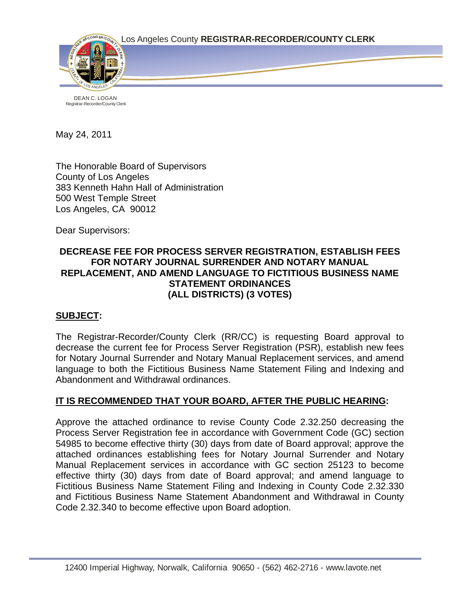



DEAN C. LOGAN Registrar-Recorder/County Clerk

May 24, 2011

The Honorable Board of Supervisors County of Los Angeles 383 Kenneth Hahn Hall of Administration 500 West Temple Street Los Angeles, CA 90012

Dear Supervisors:

## **DECREASE FEE FOR PROCESS SERVER REGISTRATION, ESTABLISH FEES FOR NOTARY JOURNAL SURRENDER AND NOTARY MANUAL REPLACEMENT, AND AMEND LANGUAGE TO FICTITIOUS BUSINESS NAME STATEMENT ORDINANCES (ALL DISTRICTS) (3 VOTES)**

## **SUBJECT:**

The Registrar-Recorder/County Clerk (RR/CC) is requesting Board approval to decrease the current fee for Process Server Registration (PSR), establish new fees for Notary Journal Surrender and Notary Manual Replacement services, and amend language to both the Fictitious Business Name Statement Filing and Indexing and Abandonment and Withdrawal ordinances.

## **IT IS RECOMMENDED THAT YOUR BOARD, AFTER THE PUBLIC HEARING:**

Approve the attached ordinance to revise County Code 2.32.250 decreasing the Process Server Registration fee in accordance with Government Code (GC) section 54985 to become effective thirty (30) days from date of Board approval; approve the attached ordinances establishing fees for Notary Journal Surrender and Notary Manual Replacement services in accordance with GC section 25123 to become effective thirty (30) days from date of Board approval; and amend language to Fictitious Business Name Statement Filing and Indexing in County Code 2.32.330 and Fictitious Business Name Statement Abandonment and Withdrawal in County Code 2.32.340 to become effective upon Board adoption.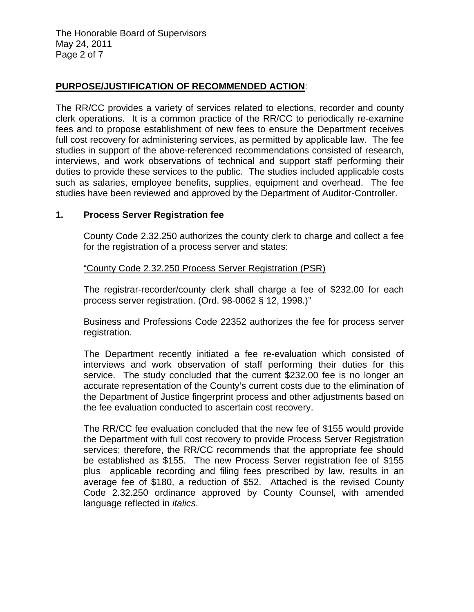The Honorable Board of Supervisors May 24, 2011 Page 2 of 7

#### **PURPOSE/JUSTIFICATION OF RECOMMENDED ACTION**:

The RR/CC provides a variety of services related to elections, recorder and county clerk operations. It is a common practice of the RR/CC to periodically re-examine fees and to propose establishment of new fees to ensure the Department receives full cost recovery for administering services, as permitted by applicable law. The fee studies in support of the above-referenced recommendations consisted of research, interviews, and work observations of technical and support staff performing their duties to provide these services to the public. The studies included applicable costs such as salaries, employee benefits, supplies, equipment and overhead. The fee studies have been reviewed and approved by the Department of Auditor-Controller.

#### **1. Process Server Registration fee**

 County Code 2.32.250 authorizes the county clerk to charge and collect a fee for the registration of a process server and states:

"County Code 2.32.250 Process Server Registration (PSR)

The registrar-recorder/county clerk shall charge a fee of \$232.00 for each process server registration. (Ord. 98-0062 § 12, 1998.)"

Business and Professions Code 22352 authorizes the fee for process server registration.

 The Department recently initiated a fee re-evaluation which consisted of interviews and work observation of staff performing their duties for this service. The study concluded that the current \$232.00 fee is no longer an accurate representation of the County's current costs due to the elimination of the Department of Justice fingerprint process and other adjustments based on the fee evaluation conducted to ascertain cost recovery.

 The RR/CC fee evaluation concluded that the new fee of \$155 would provide the Department with full cost recovery to provide Process Server Registration services; therefore, the RR/CC recommends that the appropriate fee should be established as \$155. The new Process Server registration fee of \$155 plus applicable recording and filing fees prescribed by law, results in an average fee of \$180, a reduction of \$52. Attached is the revised County Code 2.32.250 ordinance approved by County Counsel, with amended language reflected in *italics*.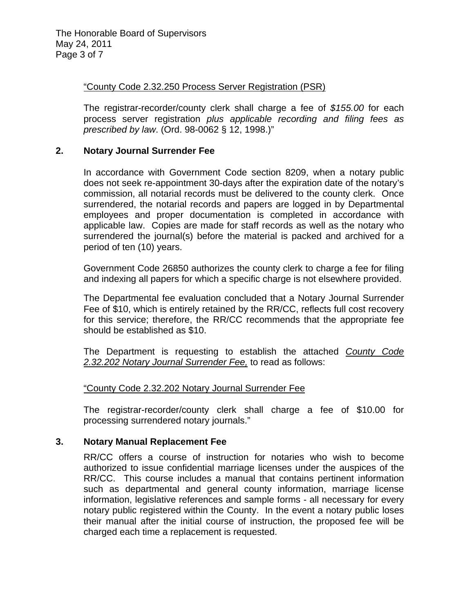The Honorable Board of Supervisors May 24, 2011 Page 3 of 7

#### "County Code 2.32.250 Process Server Registration (PSR)

The registrar-recorder/county clerk shall charge a fee of *\$155.00* for each process server registration *plus applicable recording and filing fees as prescribed by law*. (Ord. 98-0062 § 12, 1998.)"

#### **2. Notary Journal Surrender Fee**

 In accordance with Government Code section 8209, when a notary public does not seek re-appointment 30-days after the expiration date of the notary's commission, all notarial records must be delivered to the county clerk. Once surrendered, the notarial records and papers are logged in by Departmental employees and proper documentation is completed in accordance with applicable law. Copies are made for staff records as well as the notary who surrendered the journal(s) before the material is packed and archived for a period of ten (10) years.

 Government Code 26850 authorizes the county clerk to charge a fee for filing and indexing all papers for which a specific charge is not elsewhere provided.

The Departmental fee evaluation concluded that a Notary Journal Surrender Fee of \$10, which is entirely retained by the RR/CC, reflects full cost recovery for this service; therefore, the RR/CC recommends that the appropriate fee should be established as \$10.

The Department is requesting to establish the attached *County Code 2.32.202 Notary Journal Surrender Fee,* to read as follows:

## "County Code 2.32.202 Notary Journal Surrender Fee

The registrar-recorder/county clerk shall charge a fee of \$10.00 for processing surrendered notary journals."

#### **3. Notary Manual Replacement Fee**

 RR/CC offers a course of instruction for notaries who wish to become authorized to issue confidential marriage licenses under the auspices of the RR/CC. This course includes a manual that contains pertinent information such as departmental and general county information, marriage license information, legislative references and sample forms - all necessary for every notary public registered within the County. In the event a notary public loses their manual after the initial course of instruction, the proposed fee will be charged each time a replacement is requested.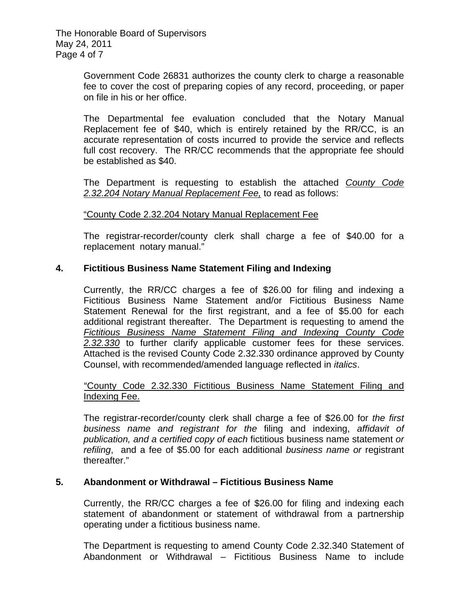The Honorable Board of Supervisors May 24, 2011 Page 4 of 7

> Government Code 26831 authorizes the county clerk to charge a reasonable fee to cover the cost of preparing copies of any record, proceeding, or paper on file in his or her office.

> The Departmental fee evaluation concluded that the Notary Manual Replacement fee of \$40, which is entirely retained by the RR/CC, is an accurate representation of costs incurred to provide the service and reflects full cost recovery. The RR/CC recommends that the appropriate fee should be established as \$40.

> The Department is requesting to establish the attached *County Code 2.32.204 Notary Manual Replacement Fee,* to read as follows:

"County Code 2.32.204 Notary Manual Replacement Fee

The registrar-recorder/county clerk shall charge a fee of \$40.00 for a replacement notary manual."

## **4. Fictitious Business Name Statement Filing and Indexing**

Currently, the RR/CC charges a fee of \$26.00 for filing and indexing a Fictitious Business Name Statement and/or Fictitious Business Name Statement Renewal for the first registrant, and a fee of \$5.00 for each additional registrant thereafter. The Department is requesting to amend the *Fictitious Business Name Statement Filing and Indexing County Code 2.32.330* to further clarify applicable customer fees for these services. Attached is the revised County Code 2.32.330 ordinance approved by County Counsel, with recommended/amended language reflected in *italics*.

## "County Code 2.32.330 Fictitious Business Name Statement Filing and Indexing Fee.

The registrar-recorder/county clerk shall charge a fee of \$26.00 for *the first business name and registrant for the* filing and indexing, *affidavit of publication, and a certified copy of each* fictitious business name statement *or refiling*, and a fee of \$5.00 for each additional *business name or* registrant thereafter."

## **5. Abandonment or Withdrawal – Fictitious Business Name**

Currently, the RR/CC charges a fee of \$26.00 for filing and indexing each statement of abandonment or statement of withdrawal from a partnership operating under a fictitious business name.

The Department is requesting to amend County Code 2.32.340 Statement of Abandonment or Withdrawal – Fictitious Business Name to include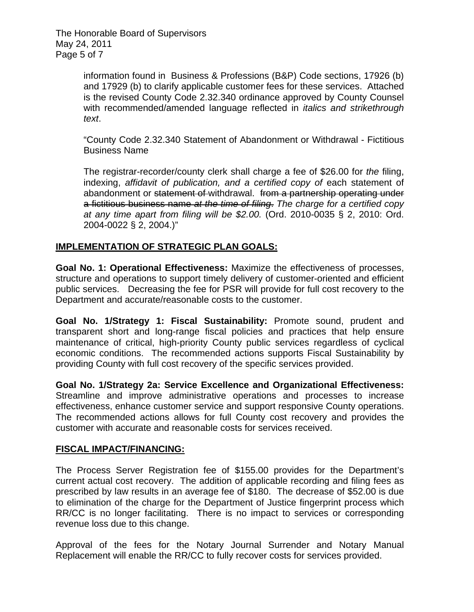The Honorable Board of Supervisors May 24, 2011 Page 5 of 7

> information found in Business & Professions (B&P) Code sections, 17926 (b) and 17929 (b) to clarify applicable customer fees for these services. Attached is the revised County Code 2.32.340 ordinance approved by County Counsel with recommended/amended language reflected in *italics and strikethrough text*.

> "County Code 2.32.340 Statement of Abandonment or Withdrawal - Fictitious Business Name

> The registrar-recorder/county clerk shall charge a fee of \$26.00 for *the* filing, indexing, *affidavit of publication, and a certified copy of each statement of* abandonment or statement of withdrawal. from a partnership operating under a fictitious business name *at the time of filing*. *The charge for a certified copy at any time apart from filing will be \$2.00.* (Ord. 2010-0035 § 2, 2010: Ord. 2004-0022 § 2, 2004.)"

## **IMPLEMENTATION OF STRATEGIC PLAN GOALS:**

**Goal No. 1: Operational Effectiveness:** Maximize the effectiveness of processes, structure and operations to support timely delivery of customer-oriented and efficient public services. Decreasing the fee for PSR will provide for full cost recovery to the Department and accurate/reasonable costs to the customer.

**Goal No. 1/Strategy 1: Fiscal Sustainability:** Promote sound, prudent and transparent short and long-range fiscal policies and practices that help ensure maintenance of critical, high-priority County public services regardless of cyclical economic conditions. The recommended actions supports Fiscal Sustainability by providing County with full cost recovery of the specific services provided.

**Goal No. 1/Strategy 2a: Service Excellence and Organizational Effectiveness:**  Streamline and improve administrative operations and processes to increase effectiveness, enhance customer service and support responsive County operations. The recommended actions allows for full County cost recovery and provides the customer with accurate and reasonable costs for services received.

## **FISCAL IMPACT/FINANCING:**

The Process Server Registration fee of \$155.00 provides for the Department's current actual cost recovery. The addition of applicable recording and filing fees as prescribed by law results in an average fee of \$180. The decrease of \$52.00 is due to elimination of the charge for the Department of Justice fingerprint process which RR/CC is no longer facilitating. There is no impact to services or corresponding revenue loss due to this change.

Approval of the fees for the Notary Journal Surrender and Notary Manual Replacement will enable the RR/CC to fully recover costs for services provided.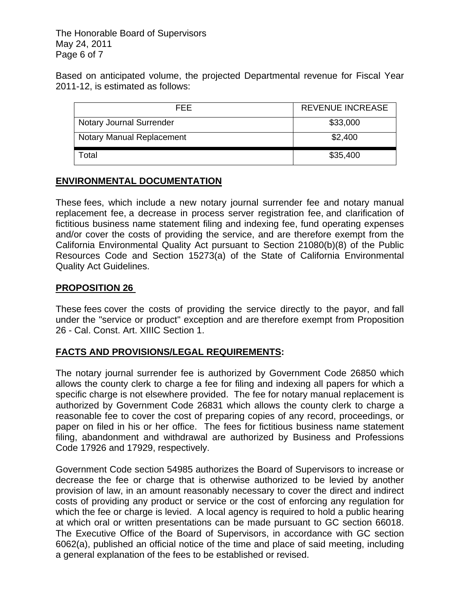The Honorable Board of Supervisors May 24, 2011 Page 6 of 7

Based on anticipated volume, the projected Departmental revenue for Fiscal Year 2011-12, is estimated as follows:

| FFF.                            | <b>REVENUE INCREASE</b> |
|---------------------------------|-------------------------|
| <b>Notary Journal Surrender</b> | \$33,000                |
| Notary Manual Replacement       | \$2,400                 |
| Γotal                           | \$35,400                |

## **ENVIRONMENTAL DOCUMENTATION**

These fees, which include a new notary journal surrender fee and notary manual replacement fee, a decrease in process server registration fee, and clarification of fictitious business name statement filing and indexing fee, fund operating expenses and/or cover the costs of providing the service, and are therefore exempt from the California Environmental Quality Act pursuant to Section 21080(b)(8) of the Public Resources Code and Section 15273(a) of the State of California Environmental Quality Act Guidelines.

## **PROPOSITION 26**

These fees cover the costs of providing the service directly to the payor, and fall under the "service or product" exception and are therefore exempt from Proposition 26 - Cal. Const. Art. XIIIC Section 1.

# **FACTS AND PROVISIONS/LEGAL REQUIREMENTS:**

The notary journal surrender fee is authorized by Government Code 26850 which allows the county clerk to charge a fee for filing and indexing all papers for which a specific charge is not elsewhere provided. The fee for notary manual replacement is authorized by Government Code 26831 which allows the county clerk to charge a reasonable fee to cover the cost of preparing copies of any record, proceedings, or paper on filed in his or her office. The fees for fictitious business name statement filing, abandonment and withdrawal are authorized by Business and Professions Code 17926 and 17929, respectively.

Government Code section 54985 authorizes the Board of Supervisors to increase or decrease the fee or charge that is otherwise authorized to be levied by another provision of law, in an amount reasonably necessary to cover the direct and indirect costs of providing any product or service or the cost of enforcing any regulation for which the fee or charge is levied. A local agency is required to hold a public hearing at which oral or written presentations can be made pursuant to GC section 66018. The Executive Office of the Board of Supervisors, in accordance with GC section 6062(a), published an official notice of the time and place of said meeting, including a general explanation of the fees to be established or revised.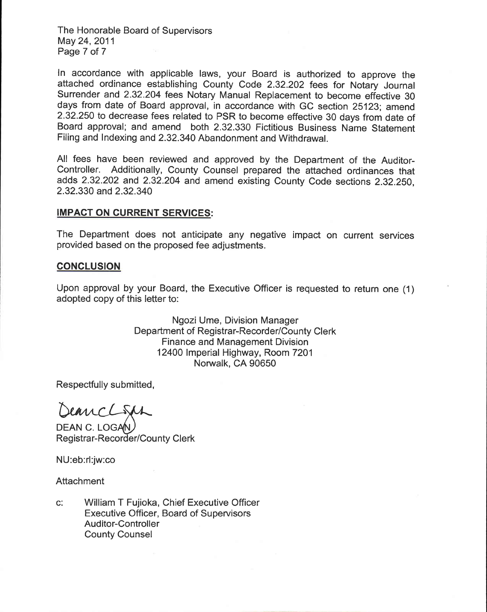The Honorable Board of Supervisors May 24, 2011 Page 7 of 7

In accordance with applicable laws, your Board is authorized to approve the attached ordinance establishing County Code 2.32.202 fees for Notary Journal Surrender and 2.32.204 fees Notary Manual Replacement to become effective 30 days from date of Board approval, in accordance with GC section 25123; amend 2.32.250 to decrease fees related to PSR to become effective 30 days from date of Board approval; and amend both 2.32.330 Fictitious Business Name Statement Filing and Indexing and 2.32.340 Abandonment and Withdrawal.

All fees have been reviewed and approved by the Department of the Auditor-Controller. Additionally, County Counsel prepared the attached ordinances that adds 2.32.202 and 2.32.204 and amend existing County Code sections 2.32.250. 2.32.330 and 2.32.340

#### **IMPACT ON CURRENT SERVICES:**

The Department does not anticipate any negative impact on current services provided based on the proposed fee adjustments.

#### **CONCLUSION**

Upon approval by your Board, the Executive Officer is requested to return one (1) adopted copy of this letter to:

> Ngozi Ume, Division Manager Department of Registrar-Recorder/County Clerk **Finance and Management Division** 12400 Imperial Highway, Room 7201 Norwalk, CA 90650

Respectfully submitted,

DeancLight

DEAN C. LOGAN Registrar-Recorder/County Clerk

NU:eb:rl:jw:co

Attachment

 $C^*$ William T Fujioka, Chief Executive Officer Executive Officer, Board of Supervisors **Auditor-Controller County Counsel**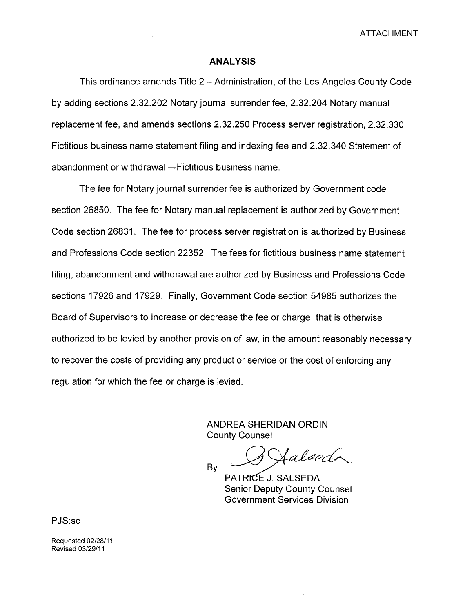ATTACHMENT

#### **ANALYSIS**

This ordinance amends Title 2 – Administration, of the Los Angeles County Code by adding sections 2.32.202 Notary journal surrender fee, 2.32.204 Notary manual replacement fee, and amends sections 2.32.250 Process server registration, 2.32.330 Fictitious business name statement filing and indexing fee and 2.32.340 Statement of abandonment or withdrawal --Fictitious business name.

The fee for Notary journal surrender fee is authorized by Government code section 26850. The fee for Notary manual replacement is authorized by Government Code section 26831. The fee for process server registration is authorized by Business and Professions Code section 22352. The fees for fictitious business name statement filing, abandonment and withdrawal are authorized by Business and Professions Code sections 17926 and 17929. Finally, Government Code section 54985 authorizes the Board of Supervisors to increase or decrease the fee or charge, that is otherwise authorized to be levied by another provision of law, in the amount reasonably necessary to recover the costs of providing any product or service or the cost of enforcing any regulation for which the fee or charge is levied.

> ANDREA SHERIDAN GROIN County Counsel

 $By$   $By$   $A$  alsect

Senior Deputy County Counsel Government Services Division

PJS:sc

Requested 02/28/11 Revised 03/29/11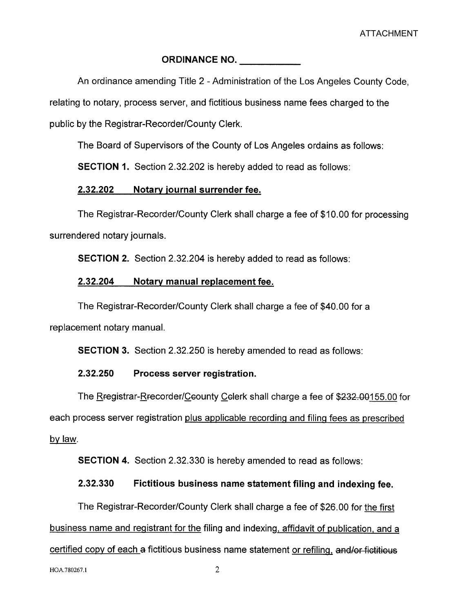## ORDINANCE NO.

An ordinance amending Title 2 - Administration of the Los Angeles County Code,

relating to notary, process server, and fictitious business name fees charged to the

public by the Registrar-Recorder/County Clerk.

The Board of Supervisors of the County of Los Angeles ordains as follows:

SECTION 1. Section 2.32.202 is hereby added to read as follows:

## 2.32.202 Notary journal surrender fee.

The Registrar-Recorder/County Clerk shall charge a fee of \$10.00 for processing surrendered notary journals.

SECTION 2. Section 2.32.204 is hereby added to read as follows:

## 2.32.204 Notary manual replacement fee.

The Registrar-Recorder/County Clerk shall charge a fee of \$40.00 for a replacement notary manuaL.

SECTION 3. Section 2.32.250 is hereby amended to read as follows:

# 2.32.250 Process server registration.

The Rfegistrar-Rfecorder/Ceounty Celerk shall charge a fee of \$232.00155.00 for each process server registration plus applicable recording and filing fees as prescribed bylaw.

SECTION 4. Section 2.32.330 is hereby amended to read as follows:

# 2.32.330 Fictitious business name statement filing and indexing fee.

The Registrar-Recorder/County Clerk shall charge a fee of \$26.00 for the first

business name and registrant for the filing and indexing, affidavit of publication, and a

certified copy of each a fictitious business name statement or refiling, and/or fictitious